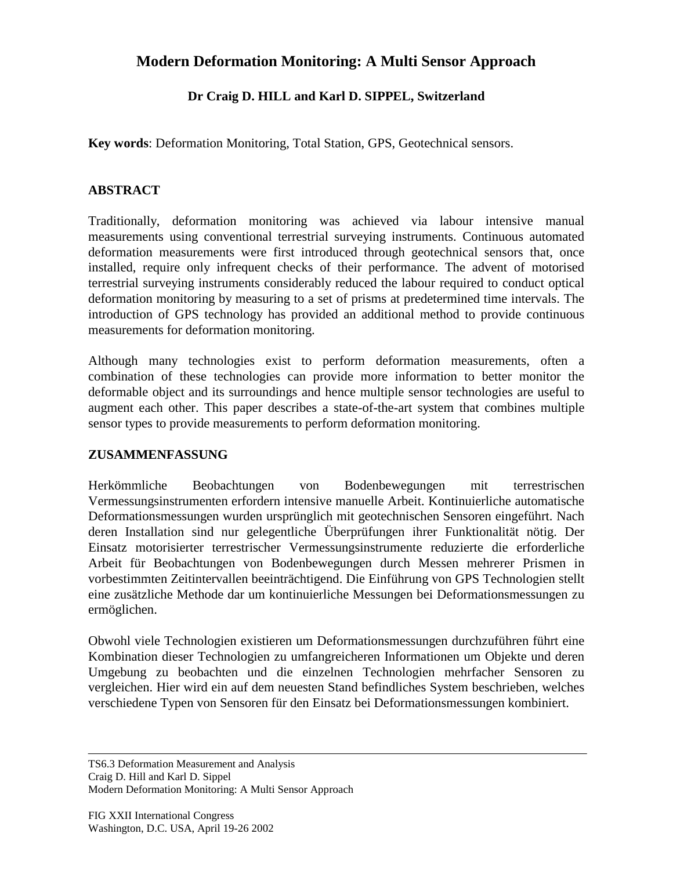# **Modern Deformation Monitoring: A Multi Sensor Approach**

## **Dr Craig D. HILL and Karl D. SIPPEL, Switzerland**

**Key words**: Deformation Monitoring, Total Station, GPS, Geotechnical sensors.

### **ABSTRACT**

Traditionally, deformation monitoring was achieved via labour intensive manual measurements using conventional terrestrial surveying instruments. Continuous automated deformation measurements were first introduced through geotechnical sensors that, once installed, require only infrequent checks of their performance. The advent of motorised terrestrial surveying instruments considerably reduced the labour required to conduct optical deformation monitoring by measuring to a set of prisms at predetermined time intervals. The introduction of GPS technology has provided an additional method to provide continuous measurements for deformation monitoring.

Although many technologies exist to perform deformation measurements, often a combination of these technologies can provide more information to better monitor the deformable object and its surroundings and hence multiple sensor technologies are useful to augment each other. This paper describes a state-of-the-art system that combines multiple sensor types to provide measurements to perform deformation monitoring.

#### **ZUSAMMENFASSUNG**

Herkömmliche Beobachtungen von Bodenbewegungen mit terrestrischen Vermessungsinstrumenten erfordern intensive manuelle Arbeit. Kontinuierliche automatische Deformationsmessungen wurden ursprünglich mit geotechnischen Sensoren eingeführt. Nach deren Installation sind nur gelegentliche Überprüfungen ihrer Funktionalität nötig. Der Einsatz motorisierter terrestrischer Vermessungsinstrumente reduzierte die erforderliche Arbeit für Beobachtungen von Bodenbewegungen durch Messen mehrerer Prismen in vorbestimmten Zeitintervallen beeinträchtigend. Die Einführung von GPS Technologien stellt eine zusätzliche Methode dar um kontinuierliche Messungen bei Deformationsmessungen zu ermöglichen.

Obwohl viele Technologien existieren um Deformationsmessungen durchzuführen führt eine Kombination dieser Technologien zu umfangreicheren Informationen um Objekte und deren Umgebung zu beobachten und die einzelnen Technologien mehrfacher Sensoren zu vergleichen. Hier wird ein auf dem neuesten Stand befindliches System beschrieben, welches verschiedene Typen von Sensoren für den Einsatz bei Deformationsmessungen kombiniert.